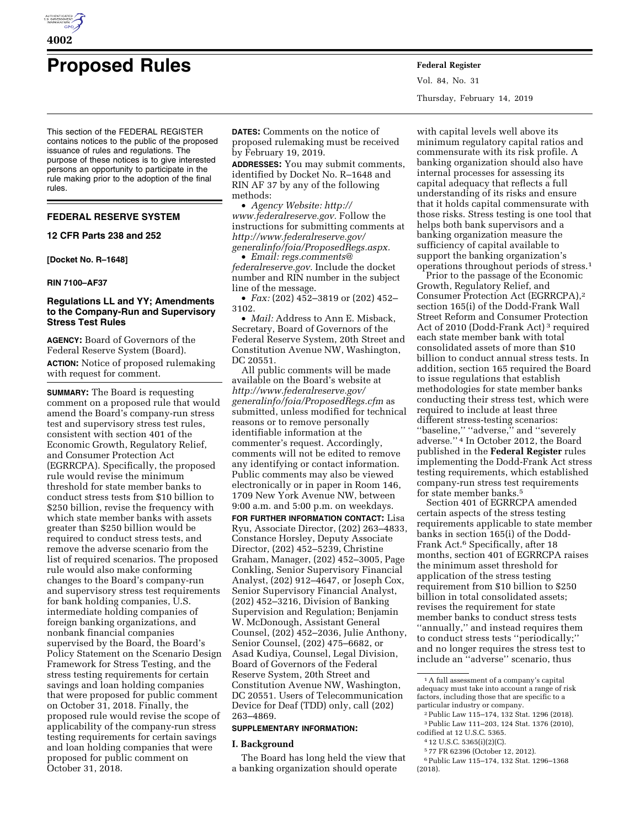

# **Proposed Rules Federal Register**

This section of the FEDERAL REGISTER contains notices to the public of the proposed issuance of rules and regulations. The purpose of these notices is to give interested persons an opportunity to participate in the rule making prior to the adoption of the final rules.

# **FEDERAL RESERVE SYSTEM**

**12 CFR Parts 238 and 252** 

**[Docket No. R–1648]** 

#### **RIN 7100–AF37**

# **Regulations LL and YY; Amendments to the Company-Run and Supervisory Stress Test Rules**

**AGENCY:** Board of Governors of the Federal Reserve System (Board).

**ACTION:** Notice of proposed rulemaking with request for comment.

**SUMMARY:** The Board is requesting comment on a proposed rule that would amend the Board's company-run stress test and supervisory stress test rules, consistent with section 401 of the Economic Growth, Regulatory Relief, and Consumer Protection Act (EGRRCPA). Specifically, the proposed rule would revise the minimum threshold for state member banks to conduct stress tests from \$10 billion to \$250 billion, revise the frequency with which state member banks with assets greater than \$250 billion would be required to conduct stress tests, and remove the adverse scenario from the list of required scenarios. The proposed rule would also make conforming changes to the Board's company-run and supervisory stress test requirements for bank holding companies, U.S. intermediate holding companies of foreign banking organizations, and nonbank financial companies supervised by the Board, the Board's Policy Statement on the Scenario Design Framework for Stress Testing, and the stress testing requirements for certain savings and loan holding companies that were proposed for public comment on October 31, 2018. Finally, the proposed rule would revise the scope of applicability of the company-run stress testing requirements for certain savings and loan holding companies that were proposed for public comment on October 31, 2018.

**DATES:** Comments on the notice of proposed rulemaking must be received by February 19, 2019.

**ADDRESSES:** You may submit comments, identified by Docket No. R–1648 and RIN AF 37 by any of the following methods:

• *Agency Website: [http://](http://www.federalreserve.gov) [www.federalreserve.gov.](http://www.federalreserve.gov)* Follow the instructions for submitting comments at *[http://www.federalreserve.gov/](http://www.federalreserve.gov/generalinfo/foia/ProposedRegs.aspx)  [generalinfo/foia/ProposedRegs.aspx.](http://www.federalreserve.gov/generalinfo/foia/ProposedRegs.aspx)* 

• *Email: [regs.comments@](mailto:regs.comments@federalreserve.gov) [federalreserve.gov.](mailto:regs.comments@federalreserve.gov)* Include the docket number and RIN number in the subject line of the message.

• *Fax:* (202) 452–3819 or (202) 452– 3102.

• *Mail:* Address to Ann E. Misback, Secretary, Board of Governors of the Federal Reserve System, 20th Street and Constitution Avenue NW, Washington, DC 20551.

All public comments will be made available on the Board's website at *[http://www.federalreserve.gov/](http://www.federalreserve.gov/generalinfo/foia/ProposedRegs.cfm)  [generalinfo/foia/ProposedRegs.cfm](http://www.federalreserve.gov/generalinfo/foia/ProposedRegs.cfm)* as submitted, unless modified for technical reasons or to remove personally identifiable information at the commenter's request. Accordingly, comments will not be edited to remove any identifying or contact information. Public comments may also be viewed electronically or in paper in Room 146, 1709 New York Avenue NW, between 9:00 a.m. and 5:00 p.m. on weekdays. **FOR FURTHER INFORMATION CONTACT:** Lisa Ryu, Associate Director, (202) 263–4833, Constance Horsley, Deputy Associate Director, (202) 452–5239, Christine Graham, Manager, (202) 452–3005, Page Conkling, Senior Supervisory Financial Analyst, (202) 912–4647, or Joseph Cox, Senior Supervisory Financial Analyst, (202) 452–3216, Division of Banking Supervision and Regulation; Benjamin W. McDonough, Assistant General Counsel, (202) 452–2036, Julie Anthony, Senior Counsel, (202) 475–6682, or Asad Kudiya, Counsel, Legal Division, Board of Governors of the Federal Reserve System, 20th Street and Constitution Avenue NW, Washington, DC 20551. Users of Telecommunication Device for Deaf (TDD) only, call (202) 263–4869.

# **SUPPLEMENTARY INFORMATION:**

#### **I. Background**

The Board has long held the view that a banking organization should operate

Vol. 84, No. 31 Thursday, February 14, 2019

with capital levels well above its minimum regulatory capital ratios and commensurate with its risk profile. A banking organization should also have internal processes for assessing its capital adequacy that reflects a full understanding of its risks and ensure that it holds capital commensurate with those risks. Stress testing is one tool that helps both bank supervisors and a banking organization measure the sufficiency of capital available to support the banking organization's operations throughout periods of stress.1

Prior to the passage of the Economic Growth, Regulatory Relief, and Consumer Protection Act (EGRRCPA),2 section 165(i) of the Dodd-Frank Wall Street Reform and Consumer Protection Act of 2010 (Dodd-Frank Act) 3 required each state member bank with total consolidated assets of more than \$10 billion to conduct annual stress tests. In addition, section 165 required the Board to issue regulations that establish methodologies for state member banks conducting their stress test, which were required to include at least three different stress-testing scenarios: "baseline," "adverse," and "severely adverse.'' 4 In October 2012, the Board published in the **Federal Register** rules implementing the Dodd-Frank Act stress testing requirements, which established company-run stress test requirements for state member banks.5

Section 401 of EGRRCPA amended certain aspects of the stress testing requirements applicable to state member banks in section 165(i) of the Dodd-Frank Act.6 Specifically, after 18 months, section 401 of EGRRCPA raises the minimum asset threshold for application of the stress testing requirement from \$10 billion to \$250 billion in total consolidated assets; revises the requirement for state member banks to conduct stress tests ''annually,'' and instead requires them to conduct stress tests ''periodically;'' and no longer requires the stress test to include an ''adverse'' scenario, thus

5 77 FR 62396 (October 12, 2012).

**4002** 

<sup>1</sup>A full assessment of a company's capital adequacy must take into account a range of risk factors, including those that are specific to a particular industry or company.

<sup>2</sup>Public Law 115–174, 132 Stat. 1296 (2018). 3Public Law 111–203, 124 Stat. 1376 (2010), codified at 12 U.S.C. 5365.

<sup>4</sup> 12 U.S.C. 5365(i)(2)(C).

<sup>6</sup>Public Law 115–174, 132 Stat. 1296–1368 (2018).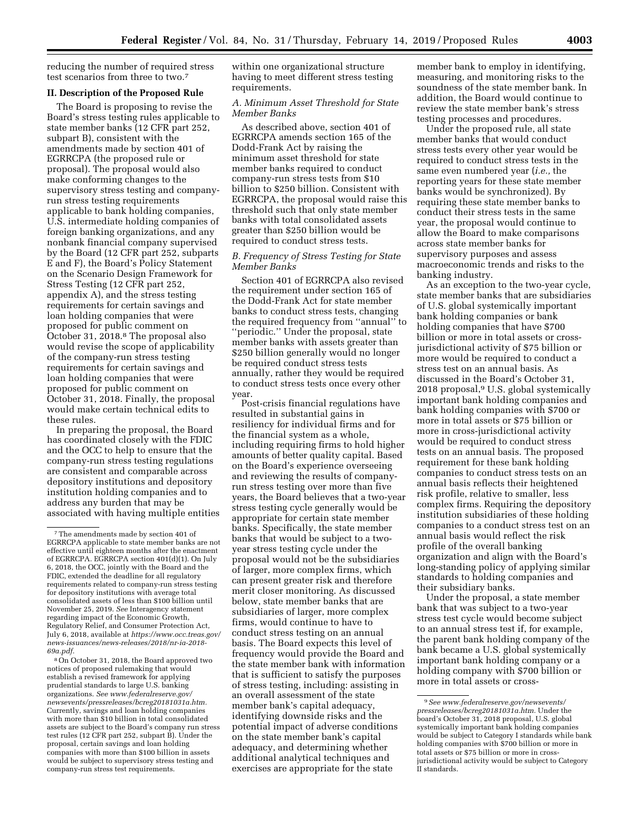reducing the number of required stress test scenarios from three to two.7

## **II. Description of the Proposed Rule**

The Board is proposing to revise the Board's stress testing rules applicable to state member banks (12 CFR part 252, subpart B), consistent with the amendments made by section 401 of EGRRCPA (the proposed rule or proposal). The proposal would also make conforming changes to the supervisory stress testing and companyrun stress testing requirements applicable to bank holding companies, U.S. intermediate holding companies of foreign banking organizations, and any nonbank financial company supervised by the Board (12 CFR part 252, subparts E and F), the Board's Policy Statement on the Scenario Design Framework for Stress Testing (12 CFR part 252, appendix A), and the stress testing requirements for certain savings and loan holding companies that were proposed for public comment on October 31, 2018.8 The proposal also would revise the scope of applicability of the company-run stress testing requirements for certain savings and loan holding companies that were proposed for public comment on October 31, 2018. Finally, the proposal would make certain technical edits to these rules.

In preparing the proposal, the Board has coordinated closely with the FDIC and the OCC to help to ensure that the company-run stress testing regulations are consistent and comparable across depository institutions and depository institution holding companies and to address any burden that may be associated with having multiple entities

8On October 31, 2018, the Board approved two notices of proposed rulemaking that would establish a revised framework for applying prudential standards to large U.S. banking organizations. *See [www.federalreserve.gov/](http://www.federalreserve.gov/newsevents/pressreleases/bcreg20181031a.htm)  [newsevents/pressreleases/bcreg20181031a.htm.](http://www.federalreserve.gov/newsevents/pressreleases/bcreg20181031a.htm)*  Currently, savings and loan holding companies with more than \$10 billion in total consolidated assets are subject to the Board's company run stress test rules (12 CFR part 252, subpart B). Under the proposal, certain savings and loan holding companies with more than \$100 billion in assets would be subject to supervisory stress testing and company-run stress test requirements.

within one organizational structure having to meet different stress testing requirements.

## *A. Minimum Asset Threshold for State Member Banks*

As described above, section 401 of EGRRCPA amends section 165 of the Dodd-Frank Act by raising the minimum asset threshold for state member banks required to conduct company-run stress tests from \$10 billion to \$250 billion. Consistent with EGRRCPA, the proposal would raise this threshold such that only state member banks with total consolidated assets greater than \$250 billion would be required to conduct stress tests.

## *B. Frequency of Stress Testing for State Member Banks*

Section 401 of EGRRCPA also revised the requirement under section 165 of the Dodd-Frank Act for state member banks to conduct stress tests, changing the required frequency from ''annual'' to ''periodic.'' Under the proposal, state member banks with assets greater than \$250 billion generally would no longer be required conduct stress tests annually, rather they would be required to conduct stress tests once every other year.

Post-crisis financial regulations have resulted in substantial gains in resiliency for individual firms and for the financial system as a whole, including requiring firms to hold higher amounts of better quality capital. Based on the Board's experience overseeing and reviewing the results of companyrun stress testing over more than five years, the Board believes that a two-year stress testing cycle generally would be appropriate for certain state member banks. Specifically, the state member banks that would be subject to a twoyear stress testing cycle under the proposal would not be the subsidiaries of larger, more complex firms, which can present greater risk and therefore merit closer monitoring. As discussed below, state member banks that are subsidiaries of larger, more complex firms, would continue to have to conduct stress testing on an annual basis. The Board expects this level of frequency would provide the Board and the state member bank with information that is sufficient to satisfy the purposes of stress testing, including: assisting in an overall assessment of the state member bank's capital adequacy, identifying downside risks and the potential impact of adverse conditions on the state member bank's capital adequacy, and determining whether additional analytical techniques and exercises are appropriate for the state

member bank to employ in identifying, measuring, and monitoring risks to the soundness of the state member bank. In addition, the Board would continue to review the state member bank's stress testing processes and procedures.

Under the proposed rule, all state member banks that would conduct stress tests every other year would be required to conduct stress tests in the same even numbered year (*i.e.,* the reporting years for these state member banks would be synchronized). By requiring these state member banks to conduct their stress tests in the same year, the proposal would continue to allow the Board to make comparisons across state member banks for supervisory purposes and assess macroeconomic trends and risks to the banking industry.

As an exception to the two-year cycle, state member banks that are subsidiaries of U.S. global systemically important bank holding companies or bank holding companies that have \$700 billion or more in total assets or crossjurisdictional activity of \$75 billion or more would be required to conduct a stress test on an annual basis. As discussed in the Board's October 31, 2018 proposal,9 U.S. global systemically important bank holding companies and bank holding companies with \$700 or more in total assets or \$75 billion or more in cross-jurisdictional activity would be required to conduct stress tests on an annual basis. The proposed requirement for these bank holding companies to conduct stress tests on an annual basis reflects their heightened risk profile, relative to smaller, less complex firms. Requiring the depository institution subsidiaries of these holding companies to a conduct stress test on an annual basis would reflect the risk profile of the overall banking organization and align with the Board's long-standing policy of applying similar standards to holding companies and their subsidiary banks.

Under the proposal, a state member bank that was subject to a two-year stress test cycle would become subject to an annual stress test if, for example, the parent bank holding company of the bank became a U.S. global systemically important bank holding company or a holding company with \$700 billion or more in total assets or cross-

<sup>7</sup>The amendments made by section 401 of EGRRCPA applicable to state member banks are not effective until eighteen months after the enactment of EGRRCPA. EGRRCPA section 401(d)(1). On July 6, 2018, the OCC, jointly with the Board and the FDIC, extended the deadline for all regulatory requirements related to company-run stress testing for depository institutions with average total consolidated assets of less than \$100 billion until November 25, 2019. *See* Interagency statement regarding impact of the Economic Growth, Regulatory Relief, and Consumer Protection Act, July 6, 2018, available at *[https://www.occ.treas.gov/](https://www.occ.treas.gov/news-issuances/news-releases/2018/nr-ia-2018-69a.pdf) [news-issuances/news-releases/2018/nr-ia-2018-](https://www.occ.treas.gov/news-issuances/news-releases/2018/nr-ia-2018-69a.pdf)  [69a.pdf.](https://www.occ.treas.gov/news-issuances/news-releases/2018/nr-ia-2018-69a.pdf)* 

<sup>9</sup>*See [www.federalreserve.gov/newsevents/](http://www.federalreserve.gov/newsevents/pressreleases/bcreg20181031a.htm) [pressreleases/bcreg20181031a.htm.](http://www.federalreserve.gov/newsevents/pressreleases/bcreg20181031a.htm)* Under the board's October 31, 2018 proposal, U.S. global systemically important bank holding companies would be subject to Category I standards while bank holding companies with \$700 billion or more in total assets or \$75 billion or more in crossjurisdictional activity would be subject to Category II standards.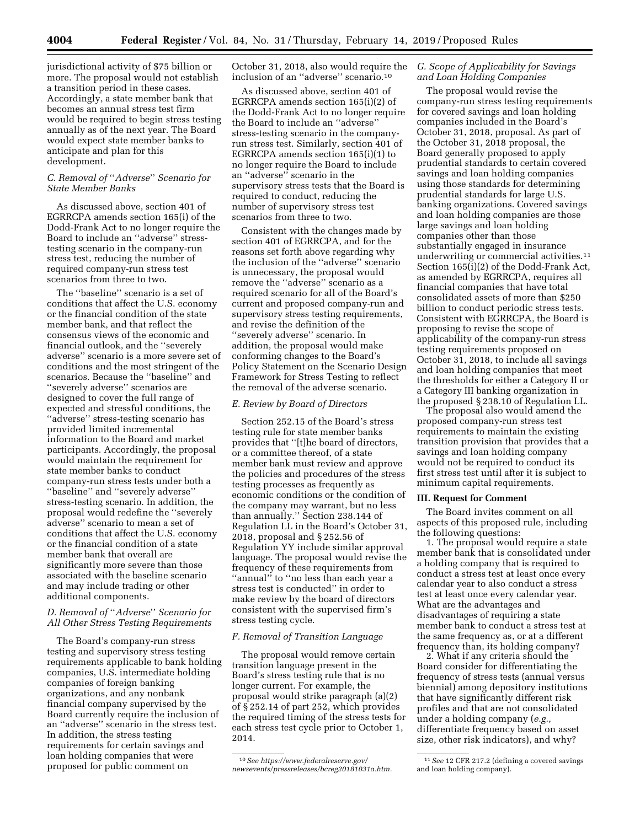jurisdictional activity of \$75 billion or more. The proposal would not establish a transition period in these cases. Accordingly, a state member bank that becomes an annual stress test firm would be required to begin stress testing annually as of the next year. The Board would expect state member banks to anticipate and plan for this development.

# *C. Removal of* ''*Adverse*'' *Scenario for State Member Banks*

As discussed above, section 401 of EGRRCPA amends section 165(i) of the Dodd-Frank Act to no longer require the Board to include an ''adverse'' stresstesting scenario in the company-run stress test, reducing the number of required company-run stress test scenarios from three to two.

The ''baseline'' scenario is a set of conditions that affect the U.S. economy or the financial condition of the state member bank, and that reflect the consensus views of the economic and financial outlook, and the ''severely adverse'' scenario is a more severe set of conditions and the most stringent of the scenarios. Because the ''baseline'' and ''severely adverse'' scenarios are designed to cover the full range of expected and stressful conditions, the ''adverse'' stress-testing scenario has provided limited incremental information to the Board and market participants. Accordingly, the proposal would maintain the requirement for state member banks to conduct company-run stress tests under both a ''baseline'' and ''severely adverse'' stress-testing scenario. In addition, the proposal would redefine the ''severely adverse'' scenario to mean a set of conditions that affect the U.S. economy or the financial condition of a state member bank that overall are significantly more severe than those associated with the baseline scenario and may include trading or other additional components.

# *D. Removal of* ''*Adverse*'' *Scenario for All Other Stress Testing Requirements*

The Board's company-run stress testing and supervisory stress testing requirements applicable to bank holding companies, U.S. intermediate holding companies of foreign banking organizations, and any nonbank financial company supervised by the Board currently require the inclusion of an ''adverse'' scenario in the stress test. In addition, the stress testing requirements for certain savings and loan holding companies that were proposed for public comment on

October 31, 2018, also would require the inclusion of an ''adverse'' scenario.10

As discussed above, section 401 of EGRRCPA amends section 165(i)(2) of the Dodd-Frank Act to no longer require the Board to include an ''adverse'' stress-testing scenario in the companyrun stress test. Similarly, section 401 of EGRRCPA amends section 165(i)(1) to no longer require the Board to include an ''adverse'' scenario in the supervisory stress tests that the Board is required to conduct, reducing the number of supervisory stress test scenarios from three to two.

Consistent with the changes made by section 401 of EGRRCPA, and for the reasons set forth above regarding why the inclusion of the ''adverse'' scenario is unnecessary, the proposal would remove the ''adverse'' scenario as a required scenario for all of the Board's current and proposed company-run and supervisory stress testing requirements, and revise the definition of the ''severely adverse'' scenario. In addition, the proposal would make conforming changes to the Board's Policy Statement on the Scenario Design Framework for Stress Testing to reflect the removal of the adverse scenario.

#### *E. Review by Board of Directors*

Section 252.15 of the Board's stress testing rule for state member banks provides that ''[t]he board of directors, or a committee thereof, of a state member bank must review and approve the policies and procedures of the stress testing processes as frequently as economic conditions or the condition of the company may warrant, but no less than annually.'' Section 238.144 of Regulation LL in the Board's October 31, 2018, proposal and § 252.56 of Regulation YY include similar approval language. The proposal would revise the frequency of these requirements from ''annual'' to ''no less than each year a stress test is conducted'' in order to make review by the board of directors consistent with the supervised firm's stress testing cycle.

#### *F. Removal of Transition Language*

The proposal would remove certain transition language present in the Board's stress testing rule that is no longer current. For example, the proposal would strike paragraph (a)(2) of § 252.14 of part 252, which provides the required timing of the stress tests for each stress test cycle prior to October 1, 2014.

## *G. Scope of Applicability for Savings and Loan Holding Companies*

The proposal would revise the company-run stress testing requirements for covered savings and loan holding companies included in the Board's October 31, 2018, proposal. As part of the October 31, 2018 proposal, the Board generally proposed to apply prudential standards to certain covered savings and loan holding companies using those standards for determining prudential standards for large U.S. banking organizations. Covered savings and loan holding companies are those large savings and loan holding companies other than those substantially engaged in insurance underwriting or commercial activities.<sup>11</sup> Section 165(i)(2) of the Dodd-Frank Act, as amended by EGRRCPA, requires all financial companies that have total consolidated assets of more than \$250 billion to conduct periodic stress tests. Consistent with EGRRCPA, the Board is proposing to revise the scope of applicability of the company-run stress testing requirements proposed on October 31, 2018, to include all savings and loan holding companies that meet the thresholds for either a Category II or a Category III banking organization in the proposed § 238.10 of Regulation LL.

The proposal also would amend the proposed company-run stress test requirements to maintain the existing transition provision that provides that a savings and loan holding company would not be required to conduct its first stress test until after it is subject to minimum capital requirements.

#### **III. Request for Comment**

The Board invites comment on all aspects of this proposed rule, including the following questions:

1. The proposal would require a state member bank that is consolidated under a holding company that is required to conduct a stress test at least once every calendar year to also conduct a stress test at least once every calendar year. What are the advantages and disadvantages of requiring a state member bank to conduct a stress test at the same frequency as, or at a different frequency than, its holding company?

2. What if any criteria should the Board consider for differentiating the frequency of stress tests (annual versus biennial) among depository institutions that have significantly different risk profiles and that are not consolidated under a holding company (*e.g.,*  differentiate frequency based on asset size, other risk indicators), and why?

<sup>10</sup>*See [https://www.federalreserve.gov/](https://www.federalreserve.gov/newsevents/pressreleases/bcreg20181031a.htm)  [newsevents/pressreleases/bcreg20181031a.htm.](https://www.federalreserve.gov/newsevents/pressreleases/bcreg20181031a.htm)* 

<sup>11</sup>*See* 12 CFR 217.2 (defining a covered savings and loan holding company).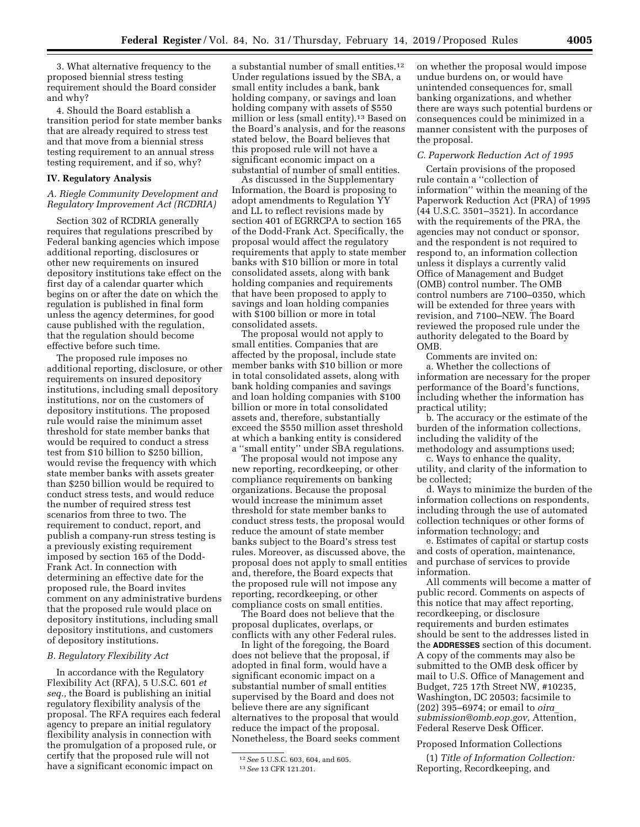3. What alternative frequency to the proposed biennial stress testing requirement should the Board consider and why?

4. Should the Board establish a transition period for state member banks that are already required to stress test and that move from a biennial stress testing requirement to an annual stress testing requirement, and if so, why?

#### **IV. Regulatory Analysis**

### *A. Riegle Community Development and Regulatory Improvement Act (RCDRIA)*

Section 302 of RCDRIA generally requires that regulations prescribed by Federal banking agencies which impose additional reporting, disclosures or other new requirements on insured depository institutions take effect on the first day of a calendar quarter which begins on or after the date on which the regulation is published in final form unless the agency determines, for good cause published with the regulation, that the regulation should become effective before such time.

The proposed rule imposes no additional reporting, disclosure, or other requirements on insured depository institutions, including small depository institutions, nor on the customers of depository institutions. The proposed rule would raise the minimum asset threshold for state member banks that would be required to conduct a stress test from \$10 billion to \$250 billion, would revise the frequency with which state member banks with assets greater than \$250 billion would be required to conduct stress tests, and would reduce the number of required stress test scenarios from three to two. The requirement to conduct, report, and publish a company-run stress testing is a previously existing requirement imposed by section 165 of the Dodd-Frank Act. In connection with determining an effective date for the proposed rule, the Board invites comment on any administrative burdens that the proposed rule would place on depository institutions, including small depository institutions, and customers of depository institutions.

## *B. Regulatory Flexibility Act*

In accordance with the Regulatory Flexibility Act (RFA), 5 U.S.C. 601 *et seq.,* the Board is publishing an initial regulatory flexibility analysis of the proposal. The RFA requires each federal agency to prepare an initial regulatory flexibility analysis in connection with the promulgation of a proposed rule, or certify that the proposed rule will not have a significant economic impact on

a substantial number of small entities.12 Under regulations issued by the SBA, a small entity includes a bank, bank holding company, or savings and loan holding company with assets of \$550 million or less (small entity).<sup>13</sup> Based on the Board's analysis, and for the reasons stated below, the Board believes that this proposed rule will not have a significant economic impact on a substantial of number of small entities.

As discussed in the Supplementary Information, the Board is proposing to adopt amendments to Regulation YY and LL to reflect revisions made by section 401 of EGRRCPA to section 165 of the Dodd-Frank Act. Specifically, the proposal would affect the regulatory requirements that apply to state member banks with \$10 billion or more in total consolidated assets, along with bank holding companies and requirements that have been proposed to apply to savings and loan holding companies with \$100 billion or more in total consolidated assets.

The proposal would not apply to small entities. Companies that are affected by the proposal, include state member banks with \$10 billion or more in total consolidated assets, along with bank holding companies and savings and loan holding companies with \$100 billion or more in total consolidated assets and, therefore, substantially exceed the \$550 million asset threshold at which a banking entity is considered a ''small entity'' under SBA regulations.

The proposal would not impose any new reporting, recordkeeping, or other compliance requirements on banking organizations. Because the proposal would increase the minimum asset threshold for state member banks to conduct stress tests, the proposal would reduce the amount of state member banks subject to the Board's stress test rules. Moreover, as discussed above, the proposal does not apply to small entities and, therefore, the Board expects that the proposed rule will not impose any reporting, recordkeeping, or other compliance costs on small entities.

The Board does not believe that the proposal duplicates, overlaps, or conflicts with any other Federal rules.

In light of the foregoing, the Board does not believe that the proposal, if adopted in final form, would have a significant economic impact on a substantial number of small entities supervised by the Board and does not believe there are any significant alternatives to the proposal that would reduce the impact of the proposal. Nonetheless, the Board seeks comment

on whether the proposal would impose undue burdens on, or would have unintended consequences for, small banking organizations, and whether there are ways such potential burdens or consequences could be minimized in a manner consistent with the purposes of the proposal.

#### *C. Paperwork Reduction Act of 1995*

Certain provisions of the proposed rule contain a ''collection of information'' within the meaning of the Paperwork Reduction Act (PRA) of 1995 (44 U.S.C. 3501–3521). In accordance with the requirements of the PRA, the agencies may not conduct or sponsor, and the respondent is not required to respond to, an information collection unless it displays a currently valid Office of Management and Budget (OMB) control number. The OMB control numbers are 7100–0350, which will be extended for three years with revision, and 7100–NEW. The Board reviewed the proposed rule under the authority delegated to the Board by OMB.

Comments are invited on:

a. Whether the collections of information are necessary for the proper performance of the Board's functions, including whether the information has practical utility;

b. The accuracy or the estimate of the burden of the information collections, including the validity of the methodology and assumptions used;

c. Ways to enhance the quality, utility, and clarity of the information to be collected;

d. Ways to minimize the burden of the information collections on respondents, including through the use of automated collection techniques or other forms of information technology; and

e. Estimates of capital or startup costs and costs of operation, maintenance, and purchase of services to provide information.

All comments will become a matter of public record. Comments on aspects of this notice that may affect reporting, recordkeeping, or disclosure requirements and burden estimates should be sent to the addresses listed in the **ADDRESSES** section of this document. A copy of the comments may also be submitted to the OMB desk officer by mail to U.S. Office of Management and Budget, 725 17th Street NW, #10235, Washington, DC 20503; facsimile to (202) 395–6974; or email to *[oira](mailto:oira_submission@omb.eop.gov)*\_ *[submission@omb.eop.gov,](mailto:oira_submission@omb.eop.gov)* Attention, Federal Reserve Desk Officer.

#### Proposed Information Collections

(1) *Title of Information Collection:*  Reporting, Recordkeeping, and

<sup>12</sup>*See* 5 U.S.C. 603, 604, and 605. 13*See* 13 CFR 121.201.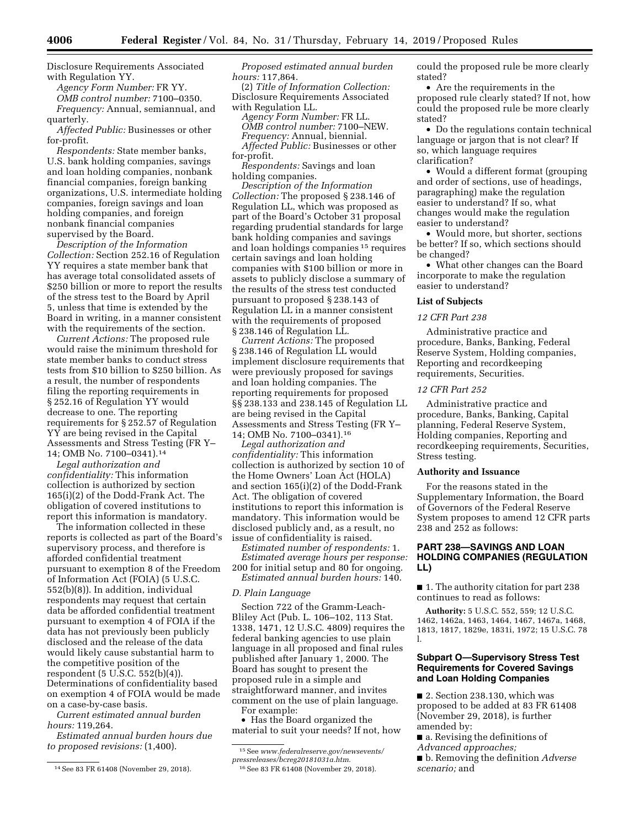Disclosure Requirements Associated with Regulation YY.

*Agency Form Number:* FR YY. *OMB control number:* 7100–0350.

*Frequency:* Annual, semiannual, and quarterly.

*Affected Public:* Businesses or other for-profit.

*Respondents:* State member banks, U.S. bank holding companies, savings and loan holding companies, nonbank financial companies, foreign banking organizations, U.S. intermediate holding companies, foreign savings and loan holding companies, and foreign nonbank financial companies supervised by the Board.

*Description of the Information Collection:* Section 252.16 of Regulation YY requires a state member bank that has average total consolidated assets of \$250 billion or more to report the results of the stress test to the Board by April 5, unless that time is extended by the Board in writing, in a manner consistent with the requirements of the section.

*Current Actions:* The proposed rule would raise the minimum threshold for state member banks to conduct stress tests from \$10 billion to \$250 billion. As a result, the number of respondents filing the reporting requirements in § 252.16 of Regulation YY would decrease to one. The reporting requirements for § 252.57 of Regulation YY are being revised in the Capital Assessments and Stress Testing (FR Y– 14; OMB No. 7100–0341).14

*Legal authorization and confidentiality:* This information collection is authorized by section 165(i)(2) of the Dodd-Frank Act. The obligation of covered institutions to report this information is mandatory.

The information collected in these reports is collected as part of the Board's supervisory process, and therefore is afforded confidential treatment pursuant to exemption 8 of the Freedom of Information Act (FOIA) (5 U.S.C. 552(b)(8)). In addition, individual respondents may request that certain data be afforded confidential treatment pursuant to exemption 4 of FOIA if the data has not previously been publicly disclosed and the release of the data would likely cause substantial harm to the competitive position of the respondent (5 U.S.C. 552(b)(4)). Determinations of confidentiality based on exemption 4 of FOIA would be made on a case-by-case basis.

*Current estimated annual burden hours:* 119,264.

*Estimated annual burden hours due to proposed revisions:* (1,400).

*Proposed estimated annual burden hours:* 117,864.

(2) *Title of Information Collection:*  Disclosure Requirements Associated with Regulation LL.

*Agency Form Number:* FR LL.

*OMB control number:* 7100–NEW.

*Frequency:* Annual, biennial. *Affected Public:* Businesses or other for-profit.

*Respondents:* Savings and loan holding companies.

*Description of the Information Collection:* The proposed § 238.146 of Regulation LL, which was proposed as part of the Board's October 31 proposal regarding prudential standards for large bank holding companies and savings and loan holdings companies 15 requires certain savings and loan holding companies with \$100 billion or more in assets to publicly disclose a summary of the results of the stress test conducted pursuant to proposed § 238.143 of Regulation LL in a manner consistent with the requirements of proposed § 238.146 of Regulation LL.

*Current Actions:* The proposed § 238.146 of Regulation LL would implement disclosure requirements that were previously proposed for savings and loan holding companies. The reporting requirements for proposed §§ 238.133 and 238.145 of Regulation LL are being revised in the Capital Assessments and Stress Testing (FR Y– 14; OMB No. 7100–0341).16

*Legal authorization and confidentiality:* This information collection is authorized by section 10 of the Home Owners' Loan Act (HOLA) and section 165(i)(2) of the Dodd-Frank Act. The obligation of covered institutions to report this information is mandatory. This information would be disclosed publicly and, as a result, no issue of confidentiality is raised.

*Estimated number of respondents:* 1. *Estimated average hours per response:*  200 for initial setup and 80 for ongoing. *Estimated annual burden hours:* 140.

#### *D. Plain Language*

Section 722 of the Gramm-Leach-Bliley Act (Pub. L. 106–102, 113 Stat. 1338, 1471, 12 U.S.C. 4809) requires the federal banking agencies to use plain language in all proposed and final rules published after January 1, 2000. The Board has sought to present the proposed rule in a simple and straightforward manner, and invites comment on the use of plain language. For example:

• Has the Board organized the material to suit your needs? If not, how could the proposed rule be more clearly stated?

• Are the requirements in the proposed rule clearly stated? If not, how could the proposed rule be more clearly stated?

• Do the regulations contain technical language or jargon that is not clear? If so, which language requires clarification?

• Would a different format (grouping and order of sections, use of headings, paragraphing) make the regulation easier to understand? If so, what changes would make the regulation easier to understand?

• Would more, but shorter, sections be better? If so, which sections should be changed?

• What other changes can the Board incorporate to make the regulation easier to understand?

#### **List of Subjects**

*12 CFR Part 238* 

Administrative practice and procedure, Banks, Banking, Federal Reserve System, Holding companies, Reporting and recordkeeping requirements, Securities.

## *12 CFR Part 252*

Administrative practice and procedure, Banks, Banking, Capital planning, Federal Reserve System, Holding companies, Reporting and recordkeeping requirements, Securities, Stress testing.

#### **Authority and Issuance**

For the reasons stated in the Supplementary Information, the Board of Governors of the Federal Reserve System proposes to amend 12 CFR parts 238 and 252 as follows:

# **PART 238—SAVINGS AND LOAN HOLDING COMPANIES (REGULATION LL)**

■ 1. The authority citation for part 238 continues to read as follows:

**Authority:** 5 U.S.C. 552, 559; 12 U.S.C. 1462, 1462a, 1463, 1464, 1467, 1467a, 1468, 1813, 1817, 1829e, 1831i, 1972; 15 U.S.C. 78 l.

# **Subpart O—Supervisory Stress Test Requirements for Covered Savings and Loan Holding Companies**

■ 2. Section 238.130, which was proposed to be added at 83 FR 61408 (November 29, 2018), is further amended by:

■ a. Revising the definitions of

*Advanced approaches;* 

■ b. Removing the definition *Adverse scenario;* and

<sup>14</sup>See 83 FR 61408 (November 29, 2018).

<sup>15</sup>See *[www.federalreserve.gov/newsevents/](http://www.federalreserve.gov/newsevents/pressreleases/bcreg20181031a.htm) [pressreleases/bcreg20181031a.htm](http://www.federalreserve.gov/newsevents/pressreleases/bcreg20181031a.htm)*.

<sup>16</sup>See 83 FR 61408 (November 29, 2018).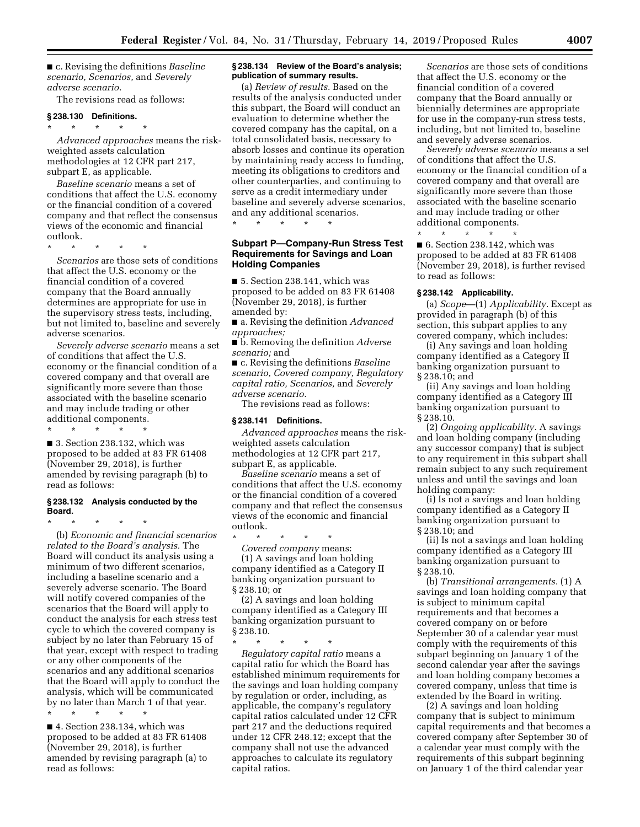■ c. Revising the definitions *Baseline scenario, Scenarios,* and *Severely adverse scenario.* 

The revisions read as follows:

#### **§ 238.130 Definitions.**

\* \* \* \* \* *Advanced approaches* means the riskweighted assets calculation methodologies at 12 CFR part 217, subpart E, as applicable.

*Baseline scenario* means a set of conditions that affect the U.S. economy or the financial condition of a covered company and that reflect the consensus views of the economic and financial outlook.

\* \* \* \* \*

*Scenarios* are those sets of conditions that affect the U.S. economy or the financial condition of a covered company that the Board annually determines are appropriate for use in the supervisory stress tests, including, but not limited to, baseline and severely adverse scenarios.

*Severely adverse scenario* means a set of conditions that affect the U.S. economy or the financial condition of a covered company and that overall are significantly more severe than those associated with the baseline scenario and may include trading or other additional components.

\* \* \* \* \*

■ 3. Section 238.132, which was proposed to be added at 83 FR 61408 (November 29, 2018), is further amended by revising paragraph (b) to read as follows:

#### **§ 238.132 Analysis conducted by the Board.**

\* \* \* \* \* (b) *Economic and financial scenarios related to the Board's analysis.* The Board will conduct its analysis using a minimum of two different scenarios, including a baseline scenario and a severely adverse scenario. The Board will notify covered companies of the scenarios that the Board will apply to conduct the analysis for each stress test cycle to which the covered company is subject by no later than February 15 of that year, except with respect to trading or any other components of the scenarios and any additional scenarios that the Board will apply to conduct the analysis, which will be communicated by no later than March 1 of that year.

\* \* \* \* \*

■ 4. Section 238.134, which was proposed to be added at 83 FR 61408 (November 29, 2018), is further amended by revising paragraph (a) to read as follows:

#### **§ 238.134 Review of the Board's analysis; publication of summary results.**

(a) *Review of results.* Based on the results of the analysis conducted under this subpart, the Board will conduct an evaluation to determine whether the covered company has the capital, on a total consolidated basis, necessary to absorb losses and continue its operation by maintaining ready access to funding, meeting its obligations to creditors and other counterparties, and continuing to serve as a credit intermediary under baseline and severely adverse scenarios, and any additional scenarios. \* \* \* \* \*

## **Subpart P—Company-Run Stress Test Requirements for Savings and Loan Holding Companies**

■ 5. Section 238.141, which was proposed to be added on 83 FR 61408 (November 29, 2018), is further amended by:

■ a. Revising the definition *Advanced approaches;* 

■ b. Removing the definition *Adverse scenario;* and

■ c. Revising the definitions *Baseline scenario, Covered company, Regulatory capital ratio, Scenarios,* and *Severely adverse scenario.* 

The revisions read as follows:

#### **§ 238.141 Definitions.**

*Advanced approaches* means the riskweighted assets calculation methodologies at 12 CFR part 217, subpart E, as applicable.

*Baseline scenario* means a set of conditions that affect the U.S. economy or the financial condition of a covered company and that reflect the consensus views of the economic and financial outlook.

\* \* \* \* \* *Covered company* means: (1) A savings and loan holding company identified as a Category II banking organization pursuant to § 238.10; or

(2) A savings and loan holding company identified as a Category III banking organization pursuant to § 238.10.

\* \* \* \* \*

*Regulatory capital ratio* means a capital ratio for which the Board has established minimum requirements for the savings and loan holding company by regulation or order, including, as applicable, the company's regulatory capital ratios calculated under 12 CFR part 217 and the deductions required under 12 CFR 248.12; except that the company shall not use the advanced approaches to calculate its regulatory capital ratios.

*Scenarios* are those sets of conditions that affect the U.S. economy or the financial condition of a covered company that the Board annually or biennially determines are appropriate for use in the company-run stress tests, including, but not limited to, baseline and severely adverse scenarios.

*Severely adverse scenario* means a set of conditions that affect the U.S. economy or the financial condition of a covered company and that overall are significantly more severe than those associated with the baseline scenario and may include trading or other additional components.

\* \* \* \* \* ■ 6. Section 238.142, which was proposed to be added at 83 FR 61408 (November 29, 2018), is further revised to read as follows:

# **§ 238.142 Applicability.**

(a) *Scope*—(1) *Applicability.* Except as provided in paragraph (b) of this section, this subpart applies to any covered company, which includes:

(i) Any savings and loan holding company identified as a Category II banking organization pursuant to § 238.10; and

(ii) Any savings and loan holding company identified as a Category III banking organization pursuant to § 238.10.

(2) *Ongoing applicability.* A savings and loan holding company (including any successor company) that is subject to any requirement in this subpart shall remain subject to any such requirement unless and until the savings and loan holding company:

(i) Is not a savings and loan holding company identified as a Category II banking organization pursuant to § 238.10; and

(ii) Is not a savings and loan holding company identified as a Category III banking organization pursuant to § 238.10.

(b) *Transitional arrangements.* (1) A savings and loan holding company that is subject to minimum capital requirements and that becomes a covered company on or before September 30 of a calendar year must comply with the requirements of this subpart beginning on January 1 of the second calendar year after the savings and loan holding company becomes a covered company, unless that time is extended by the Board in writing.

(2) A savings and loan holding company that is subject to minimum capital requirements and that becomes a covered company after September 30 of a calendar year must comply with the requirements of this subpart beginning on January 1 of the third calendar year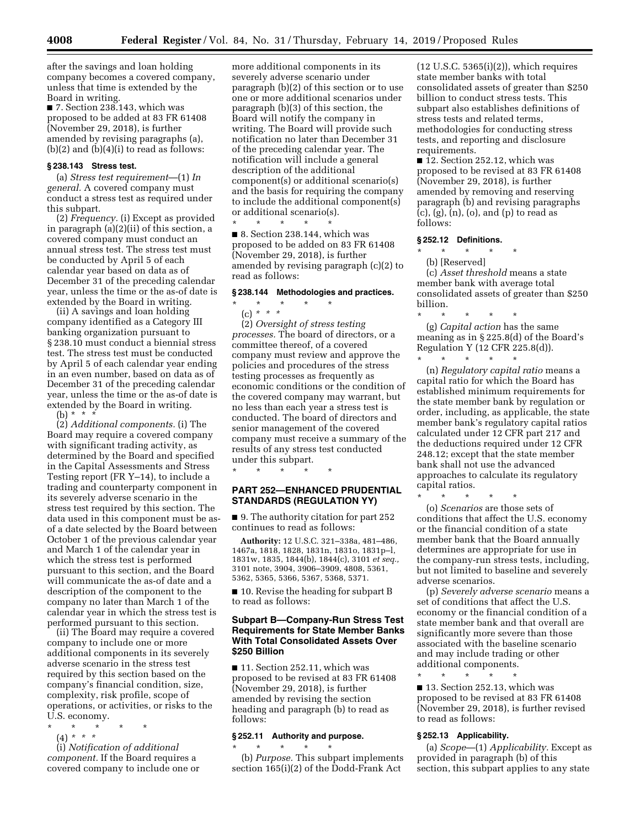after the savings and loan holding company becomes a covered company, unless that time is extended by the Board in writing.

■ 7. Section 238.143, which was proposed to be added at 83 FR 61408 (November 29, 2018), is further amended by revising paragraphs (a),  $(b)(2)$  and  $(b)(4)(i)$  to read as follows:

## **§ 238.143 Stress test.**

(a) *Stress test requirement*—(1) *In general.* A covered company must conduct a stress test as required under this subpart.

(2) *Frequency.* (i) Except as provided in paragraph (a)(2)(ii) of this section, a covered company must conduct an annual stress test. The stress test must be conducted by April 5 of each calendar year based on data as of December 31 of the preceding calendar year, unless the time or the as-of date is extended by the Board in writing.

(ii) A savings and loan holding company identified as a Category III banking organization pursuant to § 238.10 must conduct a biennial stress test. The stress test must be conducted by April 5 of each calendar year ending in an even number, based on data as of December 31 of the preceding calendar year, unless the time or the as-of date is extended by the Board in writing. (b) \* \* \*

(2) *Additional components.* (i) The Board may require a covered company with significant trading activity, as determined by the Board and specified in the Capital Assessments and Stress Testing report (FR Y–14), to include a trading and counterparty component in its severely adverse scenario in the stress test required by this section. The data used in this component must be asof a date selected by the Board between October 1 of the previous calendar year and March 1 of the calendar year in which the stress test is performed pursuant to this section, and the Board will communicate the as-of date and a description of the component to the company no later than March 1 of the calendar year in which the stress test is performed pursuant to this section.

(ii) The Board may require a covered company to include one or more additional components in its severely adverse scenario in the stress test required by this section based on the company's financial condition, size, complexity, risk profile, scope of operations, or activities, or risks to the U.S. economy.

\* \* \* \* \* (4) *\* \* \** 

(i) *Notification of additional component.* If the Board requires a covered company to include one or

more additional components in its severely adverse scenario under paragraph (b)(2) of this section or to use one or more additional scenarios under paragraph (b)(3) of this section, the Board will notify the company in writing. The Board will provide such notification no later than December 31 of the preceding calendar year. The notification will include a general description of the additional component(s) or additional scenario(s) and the basis for requiring the company to include the additional component(s) or additional scenario(s).

\* \* \* \* \* ■ 8. Section 238.144, which was proposed to be added on 83 FR 61408 (November 29, 2018), is further amended by revising paragraph (c)(2) to read as follows:

# **§ 238.144 Methodologies and practices.**

\* \* \* \* \*

(c) *\* \* \** 

(2) *Oversight of stress testing processes.* The board of directors, or a committee thereof, of a covered company must review and approve the policies and procedures of the stress testing processes as frequently as economic conditions or the condition of the covered company may warrant, but no less than each year a stress test is conducted. The board of directors and senior management of the covered company must receive a summary of the results of any stress test conducted under this subpart.

\* \* \* \* \*

## **PART 252—ENHANCED PRUDENTIAL STANDARDS (REGULATION YY)**

■ 9. The authority citation for part 252 continues to read as follows:

**Authority:** 12 U.S.C. 321–338a, 481–486, 1467a, 1818, 1828, 1831n, 1831o, 1831p–l, 1831w, 1835, 1844(b), 1844(c), 3101 *et seq.,*  3101 note, 3904, 3906–3909, 4808, 5361, 5362, 5365, 5366, 5367, 5368, 5371.

■ 10. Revise the heading for subpart B to read as follows:

## **Subpart B—Company-Run Stress Test Requirements for State Member Banks With Total Consolidated Assets Over \$250 Billion**

■ 11. Section 252.11, which was proposed to be revised at 83 FR 61408 (November 29, 2018), is further amended by revising the section heading and paragraph (b) to read as follows:

#### **§ 252.11 Authority and purpose.**

\* \* \* \* \* (b) *Purpose.* This subpart implements section 165(i)(2) of the Dodd-Frank Act

(12 U.S.C. 5365(i)(2)), which requires state member banks with total consolidated assets of greater than \$250 billion to conduct stress tests. This subpart also establishes definitions of stress tests and related terms, methodologies for conducting stress tests, and reporting and disclosure requirements.

■ 12. Section 252.12, which was proposed to be revised at 83 FR 61408 (November 29, 2018), is further amended by removing and reserving paragraph (b) and revising paragraphs (c), (g), (n), (o), and (p) to read as follows:

# **§ 252.12 Definitions.**

\* \* \* \* \*

(b) [Reserved]

(c) *Asset threshold* means a state member bank with average total consolidated assets of greater than \$250 billion.<br> $\frac{1}{x}$ 

\* \* \* \* \* (g) *Capital action* has the same meaning as in § 225.8(d) of the Board's Regulation Y (12 CFR 225.8(d)). \* \* \* \* \*

(n) *Regulatory capital ratio* means a capital ratio for which the Board has established minimum requirements for the state member bank by regulation or order, including, as applicable, the state member bank's regulatory capital ratios calculated under 12 CFR part 217 and the deductions required under 12 CFR 248.12; except that the state member bank shall not use the advanced approaches to calculate its regulatory capital ratios.

\* \* \* \* \* (o) *Scenarios* are those sets of conditions that affect the U.S. economy or the financial condition of a state member bank that the Board annually determines are appropriate for use in the company-run stress tests, including, but not limited to baseline and severely adverse scenarios.

(p) *Severely adverse scenario* means a set of conditions that affect the U.S. economy or the financial condition of a state member bank and that overall are significantly more severe than those associated with the baseline scenario and may include trading or other additional components.

\* \* \* \* \* ■ 13. Section 252.13, which was proposed to be revised at 83 FR 61408 (November 29, 2018), is further revised to read as follows:

## **§ 252.13 Applicability.**

(a) *Scope*—(1) *Applicability.* Except as provided in paragraph (b) of this section, this subpart applies to any state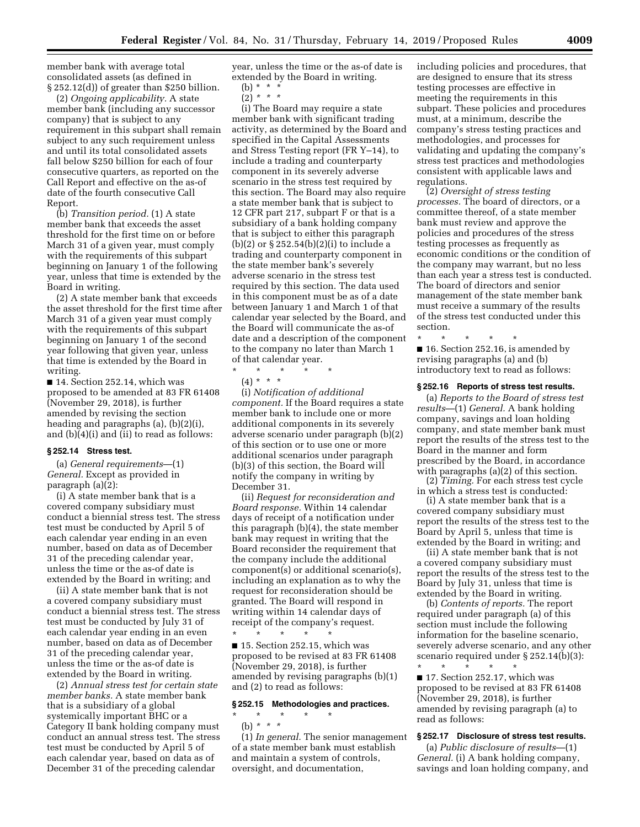member bank with average total consolidated assets (as defined in § 252.12(d)) of greater than \$250 billion.

(2) *Ongoing applicability.* A state member bank (including any successor company) that is subject to any requirement in this subpart shall remain subject to any such requirement unless and until its total consolidated assets fall below \$250 billion for each of four consecutive quarters, as reported on the Call Report and effective on the as-of date of the fourth consecutive Call Report.

(b) *Transition period.* (1) A state member bank that exceeds the asset threshold for the first time on or before March 31 of a given year, must comply with the requirements of this subpart beginning on January 1 of the following year, unless that time is extended by the Board in writing.

(2) A state member bank that exceeds the asset threshold for the first time after March 31 of a given year must comply with the requirements of this subpart beginning on January 1 of the second year following that given year, unless that time is extended by the Board in writing.

■ 14. Section 252.14, which was proposed to be amended at 83 FR 61408 (November 29, 2018), is further amended by revising the section heading and paragraphs (a), (b)(2)(i), and (b)(4)(i) and (ii) to read as follows:

## **§ 252.14 Stress test.**

(a) *General requirements*—(1) *General.* Except as provided in paragraph (a)(2):

(i) A state member bank that is a covered company subsidiary must conduct a biennial stress test. The stress test must be conducted by April 5 of each calendar year ending in an even number, based on data as of December 31 of the preceding calendar year, unless the time or the as-of date is extended by the Board in writing; and

(ii) A state member bank that is not a covered company subsidiary must conduct a biennial stress test. The stress test must be conducted by July 31 of each calendar year ending in an even number, based on data as of December 31 of the preceding calendar year, unless the time or the as-of date is extended by the Board in writing.

(2) *Annual stress test for certain state member banks.* A state member bank that is a subsidiary of a global systemically important BHC or a Category II bank holding company must conduct an annual stress test. The stress test must be conducted by April 5 of each calendar year, based on data as of December 31 of the preceding calendar

year, unless the time or the as-of date is extended by the Board in writing.

(b)  $* * * *$ 

(2) *\* \* \** 

(i) The Board may require a state member bank with significant trading activity, as determined by the Board and specified in the Capital Assessments and Stress Testing report (FR Y–14), to include a trading and counterparty component in its severely adverse scenario in the stress test required by this section. The Board may also require a state member bank that is subject to 12 CFR part 217, subpart F or that is a subsidiary of a bank holding company that is subject to either this paragraph (b)(2) or  $\S 252.54(b)(2)(i)$  to include a trading and counterparty component in the state member bank's severely adverse scenario in the stress test required by this section. The data used in this component must be as of a date between January 1 and March 1 of that calendar year selected by the Board, and the Board will communicate the as-of date and a description of the component to the company no later than March 1 of that calendar year.

- \* \* \* \* \*
	- (4) \* \* \*

(i) *Notification of additional component.* If the Board requires a state member bank to include one or more additional components in its severely adverse scenario under paragraph (b)(2) of this section or to use one or more additional scenarios under paragraph (b)(3) of this section, the Board will notify the company in writing by December 31.

(ii) *Request for reconsideration and Board response.* Within 14 calendar days of receipt of a notification under this paragraph (b)(4), the state member bank may request in writing that the Board reconsider the requirement that the company include the additional component(s) or additional scenario(s), including an explanation as to why the request for reconsideration should be granted. The Board will respond in writing within 14 calendar days of receipt of the company's request.

\* \* \* \* \* ■ 15. Section 252.15, which was proposed to be revised at 83 FR 61408 (November 29, 2018), is further amended by revising paragraphs (b)(1) and (2) to read as follows:

## **§ 252.15 Methodologies and practices.**

\* \* \* \* \* (b) *\* \* \** 

(1) *In general.* The senior management of a state member bank must establish and maintain a system of controls, oversight, and documentation,

including policies and procedures, that are designed to ensure that its stress testing processes are effective in meeting the requirements in this subpart. These policies and procedures must, at a minimum, describe the company's stress testing practices and methodologies, and processes for validating and updating the company's stress test practices and methodologies consistent with applicable laws and regulations.

(2) *Oversight of stress testing processes.* The board of directors, or a committee thereof, of a state member bank must review and approve the policies and procedures of the stress testing processes as frequently as economic conditions or the condition of the company may warrant, but no less than each year a stress test is conducted. The board of directors and senior management of the state member bank must receive a summary of the results of the stress test conducted under this section.

\* \* \* \* \* ■ 16. Section 252.16, is amended by revising paragraphs (a) and (b) introductory text to read as follows:

#### **§ 252.16 Reports of stress test results.**

(a) *Reports to the Board of stress test results*—(1) *General.* A bank holding company, savings and loan holding company, and state member bank must report the results of the stress test to the Board in the manner and form prescribed by the Board, in accordance with paragraphs (a)(2) of this section.

(2) *Timing.* For each stress test cycle in which a stress test is conducted:

(i) A state member bank that is a covered company subsidiary must report the results of the stress test to the Board by April 5, unless that time is extended by the Board in writing; and

(ii) A state member bank that is not a covered company subsidiary must report the results of the stress test to the Board by July 31, unless that time is extended by the Board in writing.

(b) *Contents of reports.* The report required under paragraph (a) of this section must include the following information for the baseline scenario, severely adverse scenario, and any other scenario required under § 252.14(b)(3):

\* \* \* \* \* ■ 17. Section 252.17, which was proposed to be revised at 83 FR 61408 (November 29, 2018), is further amended by revising paragraph (a) to read as follows:

## **§ 252.17 Disclosure of stress test results.**

(a) *Public disclosure of results*—(1) *General.* (i) A bank holding company, savings and loan holding company, and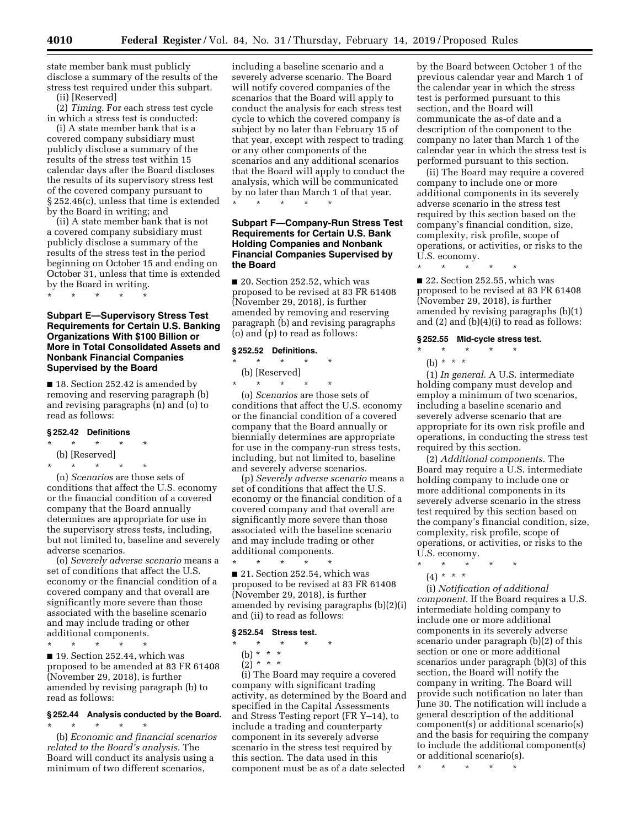state member bank must publicly disclose a summary of the results of the stress test required under this subpart.

(ii) [Reserved]

(2) *Timing.* For each stress test cycle in which a stress test is conducted:

(i) A state member bank that is a covered company subsidiary must publicly disclose a summary of the results of the stress test within 15 calendar days after the Board discloses the results of its supervisory stress test of the covered company pursuant to § 252.46(c), unless that time is extended by the Board in writing; and

(ii) A state member bank that is not a covered company subsidiary must publicly disclose a summary of the results of the stress test in the period beginning on October 15 and ending on October 31, unless that time is extended by the Board in writing.

\* \* \* \* \*

# **Subpart E—Supervisory Stress Test Requirements for Certain U.S. Banking Organizations With \$100 Billion or More in Total Consolidated Assets and Nonbank Financial Companies Supervised by the Board**

■ 18. Section 252.42 is amended by removing and reserving paragraph (b) and revising paragraphs (n) and (o) to read as follows:

#### **§ 252.42 Definitions**

- \* \* \* \* \*
- (b) [Reserved] \* \* \* \* \*

(n) *Scenarios* are those sets of conditions that affect the U.S. economy or the financial condition of a covered company that the Board annually determines are appropriate for use in the supervisory stress tests, including, but not limited to, baseline and severely adverse scenarios.

(o) *Severely adverse scenario* means a set of conditions that affect the U.S. economy or the financial condition of a covered company and that overall are significantly more severe than those associated with the baseline scenario and may include trading or other additional components.

\* \* \* \* \*

■ 19. Section 252.44, which was proposed to be amended at 83 FR 61408 (November 29, 2018), is further amended by revising paragraph (b) to read as follows:

#### **§ 252.44 Analysis conducted by the Board.**  \* \* \* \* \*

(b) *Economic and financial scenarios related to the Board's analysis.* The Board will conduct its analysis using a minimum of two different scenarios,

including a baseline scenario and a severely adverse scenario. The Board will notify covered companies of the scenarios that the Board will apply to conduct the analysis for each stress test cycle to which the covered company is subject by no later than February 15 of that year, except with respect to trading or any other components of the scenarios and any additional scenarios that the Board will apply to conduct the analysis, which will be communicated by no later than March 1 of that year. \* \* \* \* \*

# **Subpart F—Company-Run Stress Test Requirements for Certain U.S. Bank Holding Companies and Nonbank Financial Companies Supervised by the Board**

■ 20. Section 252.52, which was proposed to be revised at 83 FR 61408 (November 29, 2018), is further amended by removing and reserving paragraph (b) and revising paragraphs (o) and (p) to read as follows:

## **§ 252.52 Definitions.**

- \* \* \* \* \* (b) [Reserved]
- $\star$   $\qquad$   $\star$   $\qquad$   $\star$

(o) *Scenarios* are those sets of conditions that affect the U.S. economy or the financial condition of a covered company that the Board annually or biennially determines are appropriate for use in the company-run stress tests, including, but not limited to, baseline and severely adverse scenarios.

(p) *Severely adverse scenario* means a set of conditions that affect the U.S. economy or the financial condition of a covered company and that overall are significantly more severe than those associated with the baseline scenario and may include trading or other additional components.

\* \* \* \* \* ■ 21. Section 252.54, which was proposed to be revised at 83 FR 61408 (November 29, 2018), is further amended by revising paragraphs (b)(2)(i) and (ii) to read as follows:

## **§ 252.54 Stress test.**

\* \* \* \* \*

(b) \* \* \*

 $(2)^{*}$  \* \*

(i) The Board may require a covered company with significant trading activity, as determined by the Board and specified in the Capital Assessments and Stress Testing report (FR Y–14), to include a trading and counterparty component in its severely adverse scenario in the stress test required by this section. The data used in this component must be as of a date selected

by the Board between October 1 of the previous calendar year and March 1 of the calendar year in which the stress test is performed pursuant to this section, and the Board will communicate the as-of date and a description of the component to the company no later than March 1 of the calendar year in which the stress test is performed pursuant to this section.

(ii) The Board may require a covered company to include one or more additional components in its severely adverse scenario in the stress test required by this section based on the company's financial condition, size, complexity, risk profile, scope of operations, or activities, or risks to the U.S. economy.

\* \* \* \* \*

■ 22. Section 252.55, which was proposed to be revised at 83 FR 61408 (November 29, 2018), is further amended by revising paragraphs (b)(1) and (2) and (b)(4)(i) to read as follows:

#### **§ 252.55 Mid-cycle stress test.**

- \* \* \* \* \*
	- (b) *\* \* \**

(1) *In general.* A U.S. intermediate holding company must develop and employ a minimum of two scenarios, including a baseline scenario and severely adverse scenario that are appropriate for its own risk profile and operations, in conducting the stress test required by this section.

(2) *Additional components.* The Board may require a U.S. intermediate holding company to include one or more additional components in its severely adverse scenario in the stress test required by this section based on the company's financial condition, size, complexity, risk profile, scope of operations, or activities, or risks to the U.S. economy.

- \* \* \* \* \*
	- (4) *\* \* \**

(i) *Notification of additional component.* If the Board requires a U.S. intermediate holding company to include one or more additional components in its severely adverse scenario under paragraph (b)(2) of this section or one or more additional scenarios under paragraph (b)(3) of this section, the Board will notify the company in writing. The Board will provide such notification no later than June 30. The notification will include a general description of the additional component(s) or additional scenario(s) and the basis for requiring the company to include the additional component(s) or additional scenario(s).

\* \* \* \* \*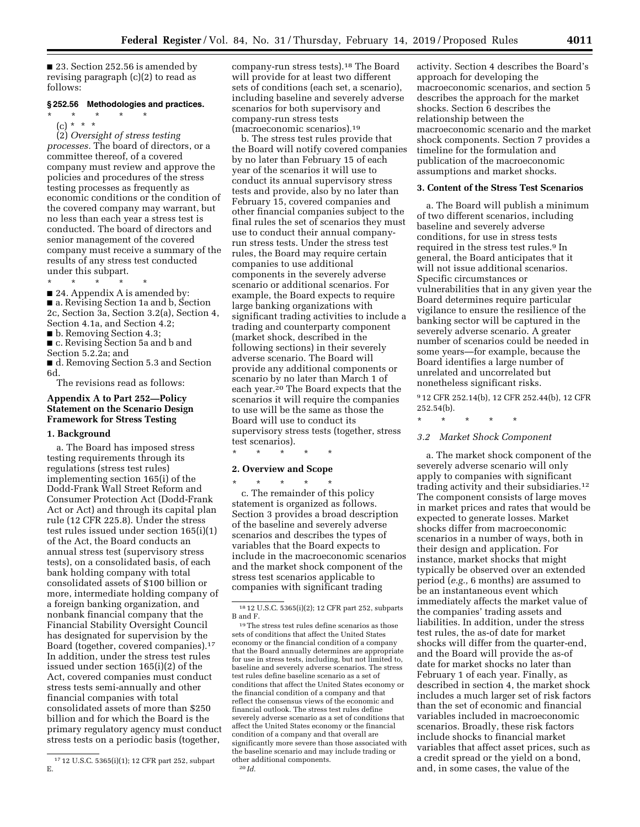■ 23. Section 252.56 is amended by revising paragraph (c)(2) to read as follows:

## **§ 252.56 Methodologies and practices.**

\* \* \* \* \* (c) \* \* \*

(2) *Oversight of stress testing processes.* The board of directors, or a committee thereof, of a covered company must review and approve the policies and procedures of the stress testing processes as frequently as economic conditions or the condition of the covered company may warrant, but no less than each year a stress test is conducted. The board of directors and senior management of the covered company must receive a summary of the results of any stress test conducted under this subpart.

\* \* \* \* \*

■ 24. Appendix A is amended by:

■ a. Revising Section 1a and b, Section 2c, Section 3a, Section 3.2(a), Section 4, Section 4.1a, and Section 4.2;

■ b. Removing Section 4.3;

■ c. Revising Section 5a and b and Section 5.2.2a; and

■ d. Removing Section 5.3 and Section 6d.

The revisions read as follows:

## **Appendix A to Part 252—Policy Statement on the Scenario Design Framework for Stress Testing**

#### **1. Background**

a. The Board has imposed stress testing requirements through its regulations (stress test rules) implementing section 165(i) of the Dodd-Frank Wall Street Reform and Consumer Protection Act (Dodd-Frank Act or Act) and through its capital plan rule (12 CFR 225.8). Under the stress test rules issued under section 165(i)(1) of the Act, the Board conducts an annual stress test (supervisory stress tests), on a consolidated basis, of each bank holding company with total consolidated assets of \$100 billion or more, intermediate holding company of a foreign banking organization, and nonbank financial company that the Financial Stability Oversight Council has designated for supervision by the Board (together, covered companies).17 In addition, under the stress test rules issued under section 165(i)(2) of the Act, covered companies must conduct stress tests semi-annually and other financial companies with total consolidated assets of more than \$250 billion and for which the Board is the primary regulatory agency must conduct stress tests on a periodic basis (together,

company-run stress tests).18 The Board will provide for at least two different sets of conditions (each set, a scenario), including baseline and severely adverse scenarios for both supervisory and company-run stress tests (macroeconomic scenarios).19

b. The stress test rules provide that the Board will notify covered companies by no later than February 15 of each year of the scenarios it will use to conduct its annual supervisory stress tests and provide, also by no later than February 15, covered companies and other financial companies subject to the final rules the set of scenarios they must use to conduct their annual companyrun stress tests. Under the stress test rules, the Board may require certain companies to use additional components in the severely adverse scenario or additional scenarios. For example, the Board expects to require large banking organizations with significant trading activities to include a trading and counterparty component (market shock, described in the following sections) in their severely adverse scenario. The Board will provide any additional components or scenario by no later than March 1 of each year.<sup>20</sup> The Board expects that the scenarios it will require the companies to use will be the same as those the Board will use to conduct its supervisory stress tests (together, stress test scenarios).

\* \* \* \* \*

## **2. Overview and Scope**

\* \* \* \* \*

c. The remainder of this policy statement is organized as follows. Section 3 provides a broad description of the baseline and severely adverse scenarios and describes the types of variables that the Board expects to include in the macroeconomic scenarios and the market shock component of the stress test scenarios applicable to companies with significant trading

activity. Section 4 describes the Board's approach for developing the macroeconomic scenarios, and section 5 describes the approach for the market shocks. Section 6 describes the relationship between the macroeconomic scenario and the market shock components. Section 7 provides a timeline for the formulation and publication of the macroeconomic assumptions and market shocks.

## **3. Content of the Stress Test Scenarios**

a. The Board will publish a minimum of two different scenarios, including baseline and severely adverse conditions, for use in stress tests required in the stress test rules.9 In general, the Board anticipates that it will not issue additional scenarios. Specific circumstances or vulnerabilities that in any given year the Board determines require particular vigilance to ensure the resilience of the banking sector will be captured in the severely adverse scenario. A greater number of scenarios could be needed in some years—for example, because the Board identifies a large number of unrelated and uncorrelated but nonetheless significant risks.

9 12 CFR 252.14(b), 12 CFR 252.44(b), 12 CFR 252.54(b).

\* \* \* \* \*

## *3.2 Market Shock Component*

a. The market shock component of the severely adverse scenario will only apply to companies with significant trading activity and their subsidiaries.12 The component consists of large moves in market prices and rates that would be expected to generate losses. Market shocks differ from macroeconomic scenarios in a number of ways, both in their design and application. For instance, market shocks that might typically be observed over an extended period (*e.g.,* 6 months) are assumed to be an instantaneous event which immediately affects the market value of the companies' trading assets and liabilities. In addition, under the stress test rules, the as-of date for market shocks will differ from the quarter-end, and the Board will provide the as-of date for market shocks no later than February 1 of each year. Finally, as described in section 4, the market shock includes a much larger set of risk factors than the set of economic and financial variables included in macroeconomic scenarios. Broadly, these risk factors include shocks to financial market variables that affect asset prices, such as a credit spread or the yield on a bond, and, in some cases, the value of the

<sup>17</sup> 12 U.S.C. 5365(i)(1); 12 CFR part 252, subpart E.

<sup>18</sup> 12 U.S.C. 5365(i)(2); 12 CFR part 252, subparts B and F.

<sup>19</sup>The stress test rules define scenarios as those sets of conditions that affect the United States economy or the financial condition of a company that the Board annually determines are appropriate for use in stress tests, including, but not limited to, baseline and severely adverse scenarios. The stress test rules define baseline scenario as a set of conditions that affect the United States economy or the financial condition of a company and that reflect the consensus views of the economic and financial outlook. The stress test rules define severely adverse scenario as a set of conditions that affect the United States economy or the financial condition of a company and that overall are significantly more severe than those associated with the baseline scenario and may include trading or other additional components. 20 *Id.*